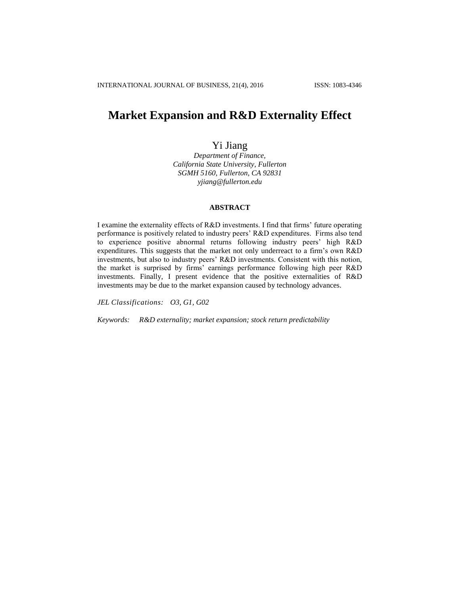# **Market Expansion and R&D Externality Effect**

# Yi Jiang

*Department of Finance, California State University, Fullerton SGMH 5160, Fullerton, CA 92831 [yjiang@fullerton.edu](mailto:yjiang@fullerton.edu)*

# **ABSTRACT**

I examine the externality effects of R&D investments. I find that firms' future operating performance is positively related to industry peers' R&D expenditures. Firms also tend to experience positive abnormal returns following industry peers' high R&D expenditures. This suggests that the market not only underreact to a firm's own R&D investments, but also to industry peers' R&D investments. Consistent with this notion, the market is surprised by firms' earnings performance following high peer R&D investments. Finally, I present evidence that the positive externalities of R&D investments may be due to the market expansion caused by technology advances.

*JEL Classifications: O3, G1, G02*

*Keywords: R&D externality; market expansion; stock return predictability*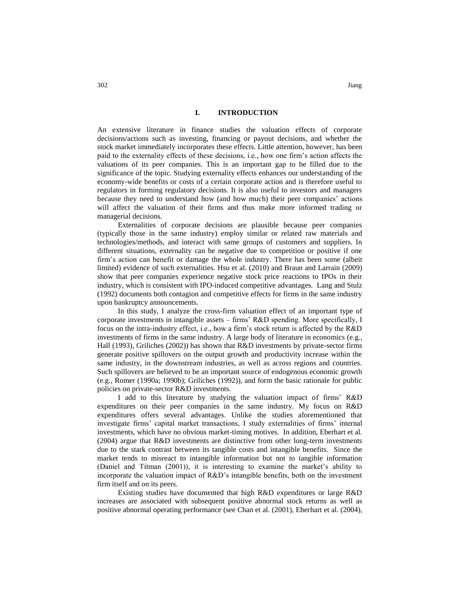### **I. INTRODUCTION**

An extensive literature in finance studies the valuation effects of corporate decisions/actions such as investing, financing or payout decisions, and whether the stock market immediately incorporates these effects. Little attention, however, has been paid to the externality effects of these decisions, i.e., how one firm's action affects the valuations of its peer companies. This is an important gap to be filled due to the significance of the topic. Studying externality effects enhances our understanding of the economy-wide benefits or costs of a certain corporate action and is therefore useful to regulators in forming regulatory decisions. It is also useful to investors and managers because they need to understand how (and how much) their peer companies' actions will affect the valuation of their firms and thus make more informed trading or managerial decisions.

Externalities of corporate decisions are plausible because peer companies (typically those in the same industry) employ similar or related raw materials and technologies/methods, and interact with same groups of customers and suppliers. In different situations, externality can be negative due to competition or positive if one firm's action can benefit or damage the whole industry. There has been some (albeit limited) evidence of such externalities. Hsu et al. (2010) and Braun and Larrain (2009) show that peer companies experience negative stock price reactions to IPOs in their industry, which is consistent with IPO-induced competitive advantages. Lang and Stulz (1992) documents both contagion and competitive effects for firms in the same industry upon bankruptcy announcements.

In this study, I analyze the cross-firm valuation effect of an important type of corporate investments in intangible assets – firms' R&D spending. More specifically, I focus on the intra-industry effect, i.e., how a firm's stock return is affected by the R&D investments of firms in the same industry. A large body of literature in economics (e.g., Hall (1993), Griliches (2002)) has shown that R&D investments by private-sector firms generate positive spillovers on the output growth and productivity increase within the same industry, in the downstream industries, as well as across regions and countries. Such spillovers are believed to be an important source of endogenous economic growth (e.g., Romer (1990a; 1990b); Griliches (1992)), and form the basic rationale for public policies on private-sector R&D investments.

I add to this literature by studying the valuation impact of firms' R&D expenditures on their peer companies in the same industry. My focus on R&D expenditures offers several advantages. Unlike the studies aforementioned that investigate firms' capital market transactions, I study externalities of firms' internal investments, which have no obvious market-timing motives. In addition, Eberhart et al. (2004) argue that R&D investments are distinctive from other long-term investments due to the stark contrast between its tangible costs and intangible benefits. Since the market tends to misreact to intangible information but not to tangible information (Daniel and Titman (2001)), it is interesting to examine the market's ability to incorporate the valuation impact of R&D's intangible benefits, both on the investment firm itself and on its peers.

Existing studies have documented that high R&D expenditures or large R&D increases are associated with subsequent positive abnormal stock returns as well as positive abnormal operating performance (see Chan et al. (2001), Eberhart et al. (2004),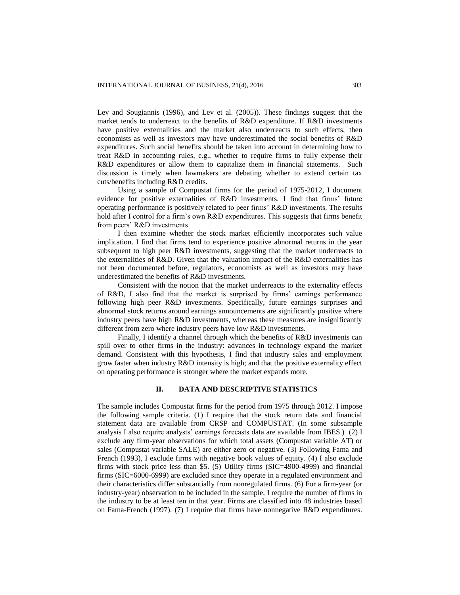Lev and Sougiannis (1996), and Lev et al. (2005)). These findings suggest that the market tends to underreact to the benefits of R&D expenditure. If R&D investments have positive externalities and the market also underreacts to such effects, then economists as well as investors may have underestimated the social benefits of R&D expenditures. Such social benefits should be taken into account in determining how to treat R&D in accounting rules, e.g., whether to require firms to fully expense their R&D expenditures or allow them to capitalize them in financial statements. Such discussion is timely when lawmakers are debating whether to extend certain tax cuts/benefits including R&D credits.

Using a sample of Compustat firms for the period of 1975-2012, I document evidence for positive externalities of R&D investments. I find that firms' future operating performance is positively related to peer firms' R&D investments. The results hold after I control for a firm's own R&D expenditures. This suggests that firms benefit from peers' R&D investments.

I then examine whether the stock market efficiently incorporates such value implication. I find that firms tend to experience positive abnormal returns in the year subsequent to high peer R&D investments, suggesting that the market underreacts to the externalities of R&D. Given that the valuation impact of the R&D externalities has not been documented before, regulators, economists as well as investors may have underestimated the benefits of R&D investments.

Consistent with the notion that the market underreacts to the externality effects of R&D, I also find that the market is surprised by firms' earnings performance following high peer R&D investments. Specifically, future earnings surprises and abnormal stock returns around earnings announcements are significantly positive where industry peers have high R&D investments, whereas these measures are insignificantly different from zero where industry peers have low R&D investments.

Finally, I identify a channel through which the benefits of R&D investments can spill over to other firms in the industry: advances in technology expand the market demand. Consistent with this hypothesis, I find that industry sales and employment grow faster when industry R&D intensity is high; and that the positive externality effect on operating performance is stronger where the market expands more.

# **II. DATA AND DESCRIPTIVE STATISTICS**

The sample includes Compustat firms for the period from 1975 through 2012. I impose the following sample criteria. (1) I require that the stock return data and financial statement data are available from CRSP and COMPUSTAT. (In some subsample analysis I also require analysts' earnings forecasts data are available from IBES.) (2) I exclude any firm-year observations for which total assets (Compustat variable AT) or sales (Compustat variable SALE) are either zero or negative. (3) Following Fama and French (1993), I exclude firms with negative book values of equity. (4) I also exclude firms with stock price less than \$5. (5) Utility firms (SIC=4900-4999) and financial firms (SIC=6000-6999) are excluded since they operate in a regulated environment and their characteristics differ substantially from nonregulated firms. (6) For a firm-year (or industry-year) observation to be included in the sample, I require the number of firms in the industry to be at least ten in that year. Firms are classified into 48 industries based on Fama-French (1997). (7) I require that firms have nonnegative R&D expenditures.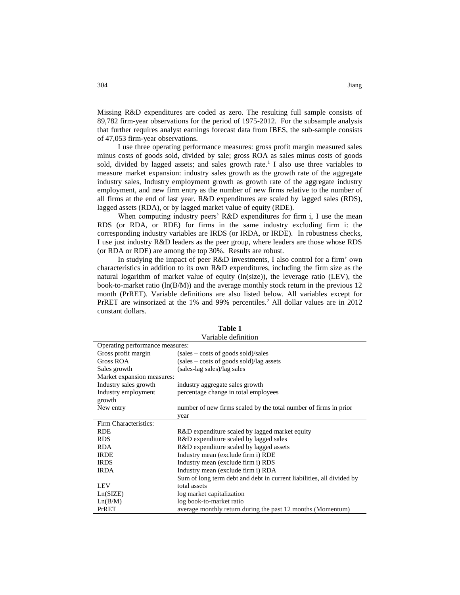Missing R&D expenditures are coded as zero. The resulting full sample consists of 89,782 firm-year observations for the period of 1975-2012. For the subsample analysis that further requires analyst earnings forecast data from IBES, the sub-sample consists of 47,053 firm-year observations.

I use three operating performance measures: gross profit margin measured sales minus costs of goods sold, divided by sale; gross ROA as sales minus costs of goods sold, divided by lagged assets; and sales growth rate.<sup>1</sup> I also use three variables to measure market expansion: industry sales growth as the growth rate of the aggregate industry sales, Industry employment growth as growth rate of the aggregate industry employment, and new firm entry as the number of new firms relative to the number of all firms at the end of last year. R&D expenditures are scaled by lagged sales (RDS), lagged assets (RDA), or by lagged market value of equity (RDE).

When computing industry peers' R&D expenditures for firm i, I use the mean RDS (or RDA, or RDE) for firms in the same industry excluding firm i: the corresponding industry variables are IRDS (or IRDA, or IRDE). In robustness checks, I use just industry R&D leaders as the peer group, where leaders are those whose RDS (or RDA or RDE) are among the top 30%. Results are robust.

In studying the impact of peer R&D investments, I also control for a firm' own characteristics in addition to its own R&D expenditures, including the firm size as the natural logarithm of market value of equity (ln(size)), the leverage ratio (LEV), the book-to-market ratio  $(ln(B/M))$  and the average monthly stock return in the previous 12 month (PrRET). Variable definitions are also listed below. All variables except for PrRET are winsorized at the 1% and 99% percentiles.<sup>2</sup> All dollar values are in 2012 constant dollars.

| Variable definition                                     |                                                                       |  |  |  |  |  |  |
|---------------------------------------------------------|-----------------------------------------------------------------------|--|--|--|--|--|--|
| Operating performance measures:                         |                                                                       |  |  |  |  |  |  |
| Gross profit margin                                     | $(sales - costs of goods sold)/sales$                                 |  |  |  |  |  |  |
| Gross ROA<br>$(sales - costs of goods sold)/lag assets$ |                                                                       |  |  |  |  |  |  |
| Sales growth                                            | (sales-lag sales)/lag sales                                           |  |  |  |  |  |  |
| Market expansion measures:                              |                                                                       |  |  |  |  |  |  |
| Industry sales growth                                   | industry aggregate sales growth                                       |  |  |  |  |  |  |
| Industry employment                                     | percentage change in total employees                                  |  |  |  |  |  |  |
| growth                                                  |                                                                       |  |  |  |  |  |  |
| New entry                                               | number of new firms scaled by the total number of firms in prior      |  |  |  |  |  |  |
|                                                         | year                                                                  |  |  |  |  |  |  |
| Firm Characteristics:                                   |                                                                       |  |  |  |  |  |  |
| <b>RDE</b>                                              | R&D expenditure scaled by lagged market equity                        |  |  |  |  |  |  |
| <b>RDS</b>                                              | R&D expenditure scaled by lagged sales                                |  |  |  |  |  |  |
| <b>RDA</b>                                              | R&D expenditure scaled by lagged assets                               |  |  |  |  |  |  |
| <b>IRDE</b>                                             | Industry mean (exclude firm i) RDE                                    |  |  |  |  |  |  |
| <b>IRDS</b>                                             | Industry mean (exclude firm i) RDS                                    |  |  |  |  |  |  |
| <b>IRDA</b>                                             | Industry mean (exclude firm i) RDA                                    |  |  |  |  |  |  |
|                                                         | Sum of long term debt and debt in current liabilities, all divided by |  |  |  |  |  |  |
| <b>LEV</b>                                              | total assets                                                          |  |  |  |  |  |  |
| Ln(SIZE)                                                | log market capitalization                                             |  |  |  |  |  |  |
| Ln(B/M)                                                 | log book-to-market ratio                                              |  |  |  |  |  |  |
| PrRET                                                   | average monthly return during the past 12 months (Momentum)           |  |  |  |  |  |  |

**Table 1**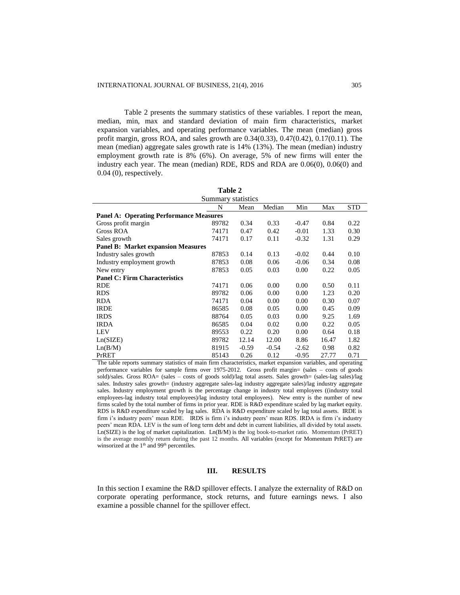Table 2 presents the summary statistics of these variables. I report the mean, median, min, max and standard deviation of main firm characteristics, market expansion variables, and operating performance variables. The mean (median) gross profit margin, gross ROA, and sales growth are  $0.34(0.33)$ ,  $0.47(0.42)$ ,  $0.17(0.11)$ . The mean (median) aggregate sales growth rate is 14% (13%). The mean (median) industry employment growth rate is 8% (6%). On average, 5% of new firms will enter the industry each year. The mean (median) RDE, RDS and RDA are 0.06(0), 0.06(0) and 0.04 (0), respectively.

**Table 2**

| radie 2                                        |       |         |         |         |       |            |  |  |  |
|------------------------------------------------|-------|---------|---------|---------|-------|------------|--|--|--|
| Summary statistics                             |       |         |         |         |       |            |  |  |  |
|                                                | N     | Mean    | Median  | Min     | Max   | <b>STD</b> |  |  |  |
| <b>Panel A: Operating Performance Measures</b> |       |         |         |         |       |            |  |  |  |
| Gross profit margin                            | 89782 | 0.34    | 0.33    | $-0.47$ | 0.84  | 0.22       |  |  |  |
| Gross ROA                                      | 74171 | 0.47    | 0.42    | $-0.01$ | 1.33  | 0.30       |  |  |  |
| Sales growth                                   | 74171 | 0.17    | 0.11    | $-0.32$ | 1.31  | 0.29       |  |  |  |
| <b>Panel B: Market expansion Measures</b>      |       |         |         |         |       |            |  |  |  |
| Industry sales growth                          | 87853 | 0.14    | 0.13    | $-0.02$ | 0.44  | 0.10       |  |  |  |
| Industry employment growth                     | 87853 | 0.08    | 0.06    | $-0.06$ | 0.34  | 0.08       |  |  |  |
| New entry                                      | 87853 | 0.05    | 0.03    | 0.00    | 0.22  | 0.05       |  |  |  |
| <b>Panel C: Firm Characteristics</b>           |       |         |         |         |       |            |  |  |  |
| RDE                                            | 74171 | 0.06    | 0.00    | 0.00    | 0.50  | 0.11       |  |  |  |
| <b>RDS</b>                                     | 89782 | 0.06    | 0.00    | 0.00    | 1.23  | 0.20       |  |  |  |
| RDA                                            | 74171 | 0.04    | 0.00    | 0.00    | 0.30  | 0.07       |  |  |  |
| <b>IRDE</b>                                    | 86585 | 0.08    | 0.05    | 0.00    | 0.45  | 0.09       |  |  |  |
| <b>IRDS</b>                                    | 88764 | 0.05    | 0.03    | 0.00    | 9.25  | 1.69       |  |  |  |
| IRDA                                           | 86585 | 0.04    | 0.02    | 0.00    | 0.22  | 0.05       |  |  |  |
| LEV                                            | 89553 | 0.22    | 0.20    | 0.00    | 0.64  | 0.18       |  |  |  |
| Ln(SIZE)                                       | 89782 | 12.14   | 12.00   | 8.86    | 16.47 | 1.82       |  |  |  |
| Ln(B/M)                                        | 81915 | $-0.59$ | $-0.54$ | $-2.62$ | 0.98  | 0.82       |  |  |  |
| PrRET                                          | 85143 | 0.26    | 0.12    | $-0.95$ | 27.77 | 0.71       |  |  |  |

The table reports summary statistics of main firm characteristics, market expansion variables, and operating performance variables for sample firms over 1975-2012. Gross profit margin= (sales – costs of goods sold)/sales. Gross ROA= (sales – costs of goods sold)/lag total assets. Sales growth= (sales-lag sales)/lag sales. Industry sales growth= (industry aggregate sales-lag industry aggregate sales)/lag industry aggregate sales. Industry employment growth is the percentage change in industry total employees ((industry total employees-lag industry total employees)/lag industry total employees). New entry is the number of new firms scaled by the total number of firms in prior year. RDE is R&D expenditure scaled by lag market equity. RDS is R&D expenditure scaled by lag sales. RDA is R&D expenditure scaled by lag total assets. IRDE is firm i's industry peers' mean RDE. IRDS is firm i's industry peers' mean RDS. IRDA is firm i's industry peers' mean RDA. LEV is the sum of long term debt and debt in current liabilities, all divided by total assets. Ln(SIZE) is the log of market capitalization. Ln(B/M) is the log book-to-market ratio. Momentum (PrRET) is the average monthly return during the past 12 months. All variables (except for Momentum PrRET) are winsorized at the 1<sup>th</sup> and 99<sup>th</sup> percentiles.

# **III. RESULTS**

In this section I examine the R&D spillover effects. I analyze the externality of R&D on corporate operating performance, stock returns, and future earnings news. I also examine a possible channel for the spillover effect.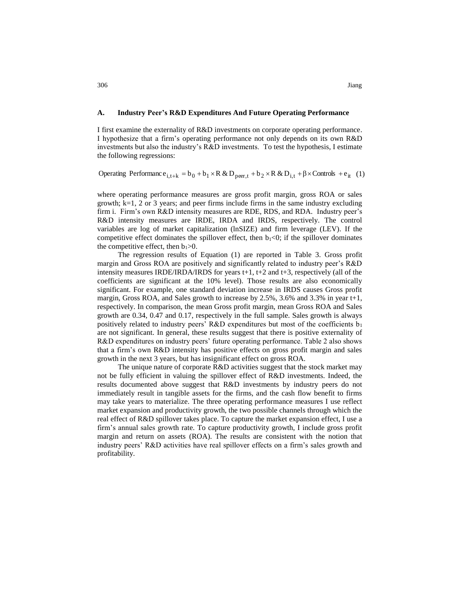#### **A. Industry Peer's R&D Expenditures And Future Operating Performance**

I first examine the externality of R&D investments on corporate operating performance. I hypothesize that a firm's operating performance not only depends on its own R&D investments but also the industry's R&D investments. To test the hypothesis, I estimate the following regressions:

Operating Performanc  $e_{i,t+k} = b_0 + b_1 \times R \& D_{peer,t} + b_2 \times R \& D_{i,t} + \beta \times$  Controls  $+e_{it}$  (1)

where operating performance measures are gross profit margin, gross ROA or sales growth;  $k=1$ , 2 or 3 years; and peer firms include firms in the same industry excluding firm i. Firm's own R&D intensity measures are RDE, RDS, and RDA. Industry peer's R&D intensity measures are IRDE, IRDA and IRDS, respectively. The control variables are log of market capitalization (lnSIZE) and firm leverage (LEV). If the competitive effect dominates the spillover effect, then  $b<sub>1</sub><0$ ; if the spillover dominates the competitive effect, then  $b_1>0$ .

The regression results of Equation (1) are reported in Table 3. Gross profit margin and Gross ROA are positively and significantly related to industry peer's R&D intensity measures IRDE/IRDA/IRDS for years t+1, t+2 and t+3, respectively (all of the coefficients are significant at the 10% level). Those results are also economically significant. For example, one standard deviation increase in IRDS causes Gross profit margin, Gross ROA, and Sales growth to increase by 2.5%, 3.6% and 3.3% in year t+1, respectively. In comparison, the mean Gross profit margin, mean Gross ROA and Sales growth are 0.34, 0.47 and 0.17, respectively in the full sample. Sales growth is always positively related to industry peers' R&D expenditures but most of the coefficients  $b_1$ are not significant. In general, these results suggest that there is positive externality of R&D expenditures on industry peers' future operating performance. Table 2 also shows that a firm's own R&D intensity has positive effects on gross profit margin and sales growth in the next 3 years, but has insignificant effect on gross ROA.

The unique nature of corporate R&D activities suggest that the stock market may not be fully efficient in valuing the spillover effect of R&D investments. Indeed, the results documented above suggest that R&D investments by industry peers do not immediately result in tangible assets for the firms, and the cash flow benefit to firms may take years to materialize. The three operating performance measures I use reflect market expansion and productivity growth, the two possible channels through which the real effect of R&D spillover takes place. To capture the market expansion effect, I use a firm's annual sales growth rate. To capture productivity growth, I include gross profit margin and return on assets (ROA). The results are consistent with the notion that industry peers' R&D activities have real spillover effects on a firm's sales growth and profitability.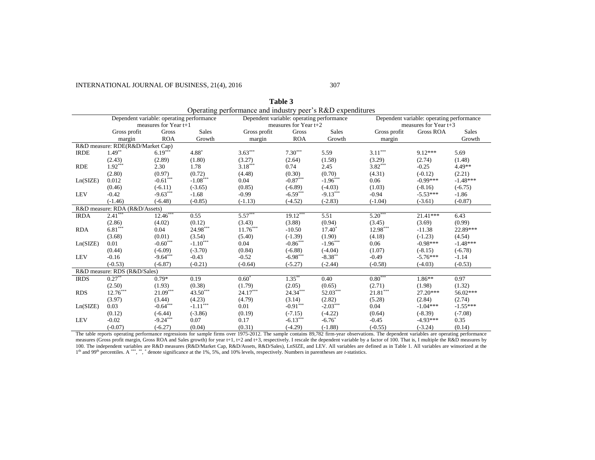#### INTERNATIONAL JOURNAL OF BUSINESS, 21(4), 2016 307

| Table 3                                                    |  |
|------------------------------------------------------------|--|
| Operating performance and industry peer's R&D expenditures |  |

|             | ັ້<br>Dependent variable: operating performance |                        | Dependent variable: operating performance | <u>J 1</u>   |                                 |              | Dependent variable: operating performance |                         |              |  |  |
|-------------|-------------------------------------------------|------------------------|-------------------------------------------|--------------|---------------------------------|--------------|-------------------------------------------|-------------------------|--------------|--|--|
|             | measures for Year $t+1$                         |                        |                                           |              | measures for Year $t+2$         |              |                                           | measures for Year $t+3$ |              |  |  |
|             | Gross profit                                    | Gross                  | <b>Sales</b>                              | Gross profit | Gross                           | <b>Sales</b> | Gross profit                              | <b>Gross ROA</b>        | <b>Sales</b> |  |  |
|             | margin                                          | <b>ROA</b>             | Growth                                    | margin       | <b>ROA</b>                      | Growth       | margin                                    |                         | Growth       |  |  |
|             | R&D measure: RDE(R&D/Market Cap)                |                        |                                           |              |                                 |              |                                           |                         |              |  |  |
| <b>IRDE</b> | $1.49**$                                        | $6.19***$              | 4.88*                                     | $3.63***$    | $7.30***$                       | 5.59         | $3.11***$                                 | $9.12***$               | 5.69         |  |  |
|             | (2.43)                                          | (2.89)                 | (1.80)                                    | (3.27)       | (2.64)                          | (1.58)       | (3.29)                                    | (2.74)                  | (1.48)       |  |  |
| <b>RDE</b>  | $1.92***$                                       | 2.30                   | 1.78                                      | $3.18***$    | 0.74                            | 2.45         | $3.82***$                                 | $-0.25$                 | 4.49**       |  |  |
|             | (2.80)                                          | (0.97)                 | (0.72)                                    | (4.48)       | (0.30)                          | (0.70)       | (4.31)                                    | $(-0.12)$               | (2.21)       |  |  |
| Ln(SIZE)    | 0.012                                           | $-0.61$ ***            | $-1.08***$                                | 0.04         | $-0.87$ ***                     | $-1.96***$   | 0.06                                      | $-0.99***$              | $-1.48***$   |  |  |
|             | (0.46)                                          | $(-6.11)$              | $(-3.65)$                                 | (0.85)       | $(-6.89)$                       | $(-4.03)$    | (1.03)                                    | $(-8.16)$               | $(-6.75)$    |  |  |
| <b>LEV</b>  | $-0.42$                                         | $-9.63***$             | $-1.68$                                   | $-0.99$      | $-6.59***$                      | $-9.13***$   | $-0.94$                                   | $-5.53***$              | $-1.86$      |  |  |
|             | $(-1.46)$                                       | $(-6.48)$              | $(-0.85)$                                 | $(-1.13)$    | $(-4.52)$                       | $(-2.83)$    | $(-1.04)$                                 | $(-3.61)$               | $(-0.87)$    |  |  |
|             | R&D measure: RDA (R&D/Assets)                   |                        |                                           |              |                                 |              |                                           |                         |              |  |  |
| <b>IRDA</b> | $2.41***$                                       | $12.46***$             | 0.55                                      | $5.57***$    | $19.12***$                      | 5.51         | $5.20***$                                 | $21.41***$              | 6.43         |  |  |
|             | (2.86)                                          | (4.02)                 | (0.12)                                    | (3.43)       | (3.88)                          | (0.94)       | (3.45)                                    | (3.69)                  | (0.99)       |  |  |
| <b>RDA</b>  | $6.81***$                                       | 0.04                   | 24.98***                                  | $11.76***$   | $-10.50$                        | $17.40*$     | $12.98***$                                | $-11.38$                | 22.89***     |  |  |
|             | (3.68)                                          | (0.01)                 | (3.54)                                    | (5.40)       | $(-1.39)$                       | (1.90)       | (4.18)                                    | $(-1.23)$               | (4.54)       |  |  |
| Ln(SIZE)    | 0.01                                            | $-0.60^{\ast\ast\ast}$ | $-1.10***$                                | 0.04         | $\textbf{-0.86}^{\ast\ast\ast}$ | $-1.96***$   | 0.06                                      | $-0.98***$              | $-1.48***$   |  |  |
|             | (0.44)                                          | $(-6.09)$              | $(-3.70)$                                 | (0.84)       | $(-6.88)$                       | $(-4.04)$    | (1.07)                                    | $(-8.15)$               | $(-6.78)$    |  |  |
| <b>LEV</b>  | $-0.16$                                         | $-9.64***$             | $-0.43$                                   | $-0.52$      | $-6.98***$                      | $-8.38***$   | $-0.49$                                   | $-5.76***$              | $-1.14$      |  |  |
|             | $(-0.53)$                                       | $(-6.87)$              | $(-0.21)$                                 | $(-0.64)$    | $(-5.27)$                       | $(-2.44)$    | $(-0.58)$                                 | $(-4.03)$               | $(-0.53)$    |  |  |
|             | R&D measure: RDS (R&D/Sales)                    |                        |                                           |              |                                 |              |                                           |                         |              |  |  |
| <b>IRDS</b> | $0.27***$                                       | $0.79*$                | 0.19                                      | $0.60*$      | $1.35***$                       | 0.40         | $0.80***$                                 | $1.86**$                | 0.97         |  |  |
|             | (2.50)                                          | (1.93)                 | (0.38)                                    | (1.79)       | (2.05)                          | (0.65)       | (2.71)                                    | (1.98)                  | (1.32)       |  |  |
| <b>RDS</b>  | $12.76***$                                      | $21.09***$             | $43.50***$                                | $24.17***$   | $24.34***$                      | 52.03***     | $21.81***$                                | 27.20***                | 56.02***     |  |  |
|             | (3.97)                                          | (3.44)                 | (4.23)                                    | (4.79)       | (3.14)                          | (2.82)       | (5.28)                                    | (2.84)                  | (2.74)       |  |  |
| Ln(SIZE)    | 0.03                                            | $-0.64***$             | $-1.11***$                                | 0.01         | $-0.91***$                      | $-2.03***$   | 0.04                                      | $-1.04***$              | $-1.55***$   |  |  |
|             | (0.12)                                          | $(-6.44)$              | $(-3.86)$                                 | (0.19)       | $(-7.15)$                       | $(-4.22)$    | (0.64)                                    | $(-8.39)$               | $(-7.08)$    |  |  |
| <b>LEV</b>  | $-0.02$                                         | $-9.24***$             | 0.07                                      | 0.17         | $-6.13***$                      | $-6.76^*$    | $-0.45$                                   | $-4.93***$              | 0.35         |  |  |
|             | $(-0.07)$                                       | $(-6.27)$              | (0.04)                                    | (0.31)       | $(-4.29)$                       | $(-1.88)$    | $(-0.55)$                                 | $(-3.24)$               | (0.14)       |  |  |

The table reports operating performance regressions for sample firms over 1975-2012. The sample contains 89,782 firm-year observations. The dependent variables are operating performance measures (Gross profit margin, Gross ROA and Sales growth) for year t+1, t+2 and t+3, respectively. I rescale the dependent variable by a factor of 100. That is, I multiple the R&D measures by 100. The independent variables are R&D measures (R&D/Market Cap, R&D/Assets, R&D/Sales), LnSIZE, and LEV. All variables are defined as in Table 1. All variables are winsorized at the 1<sup>th</sup> and 99<sup>th</sup> percentiles. A \*\*\*, \*\*, \* denote significance at the 1%, 5%, and 10% levels, respectively. Numbers in parentheses are *t*-statistics.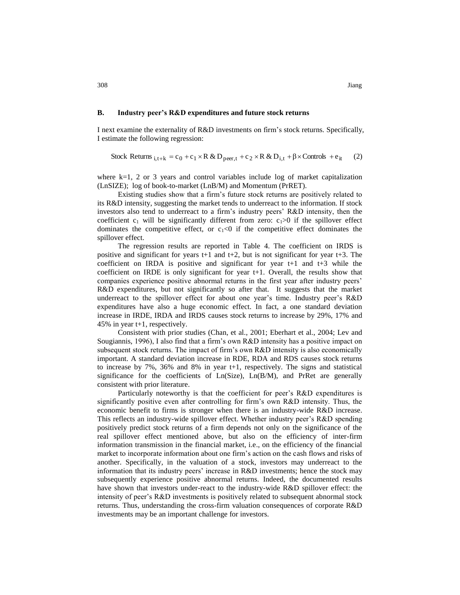#### **B. Industry peer's R&D expenditures and future stock returns**

I next examine the externality of R&D investments on firm's stock returns. Specifically, I estimate the following regression:

Stock Returns  $i_{t+k} = c_0 + c_1 \times R \& D_{peer,t} + c_2 \times R \& D_{i,t} + \beta \times$ Controls  $+e_{it}$ (2)

where k=1, 2 or 3 years and control variables include log of market capitalization (LnSIZE); log of book-to-market (LnB/M) and Momentum (PrRET).

Existing studies show that a firm's future stock returns are positively related to its R&D intensity, suggesting the market tends to underreact to the information. If stock investors also tend to underreact to a firm's industry peers' R&D intensity, then the coefficient  $c_1$  will be significantly different from zero:  $c_1>0$  if the spillover effect dominates the competitive effect, or  $c_1 < 0$  if the competitive effect dominates the spillover effect.

The regression results are reported in Table 4. The coefficient on IRDS is positive and significant for years  $t+1$  and  $t+2$ , but is not significant for year  $t+3$ . The coefficient on IRDA is positive and significant for year  $t+1$  and  $t+3$  while the coefficient on IRDE is only significant for year t+1. Overall, the results show that companies experience positive abnormal returns in the first year after industry peers' R&D expenditures, but not significantly so after that. It suggests that the market underreact to the spillover effect for about one year's time. Industry peer's R&D expenditures have also a huge economic effect. In fact, a one standard deviation increase in IRDE, IRDA and IRDS causes stock returns to increase by 29%, 17% and 45% in year t+1, respectively.

Consistent with prior studies (Chan, et al., 2001; Eberhart et al., 2004; Lev and Sougiannis, 1996), I also find that a firm's own R&D intensity has a positive impact on subsequent stock returns. The impact of firm's own R&D intensity is also economically important. A standard deviation increase in RDE, RDA and RDS causes stock returns to increase by 7%, 36% and 8% in year t+1, respectively. The signs and statistical significance for the coefficients of Ln(Size), Ln(B/M), and PrRet are generally consistent with prior literature.

Particularly noteworthy is that the coefficient for peer's R&D expenditures is significantly positive even after controlling for firm's own R&D intensity. Thus, the economic benefit to firms is stronger when there is an industry-wide R&D increase. This reflects an industry-wide spillover effect. Whether industry peer's R&D spending positively predict stock returns of a firm depends not only on the significance of the real spillover effect mentioned above, but also on the efficiency of inter-firm information transmission in the financial market, i.e., on the efficiency of the financial market to incorporate information about one firm's action on the cash flows and risks of another. Specifically, in the valuation of a stock, investors may underreact to the information that its industry peers' increase in R&D investments; hence the stock may subsequently experience positive abnormal returns. Indeed, the documented results have shown that investors under-react to the industry-wide R&D spillover effect: the intensity of peer's R&D investments is positively related to subsequent abnormal stock returns. Thus, understanding the cross-firm valuation consequences of corporate R&D investments may be an important challenge for investors.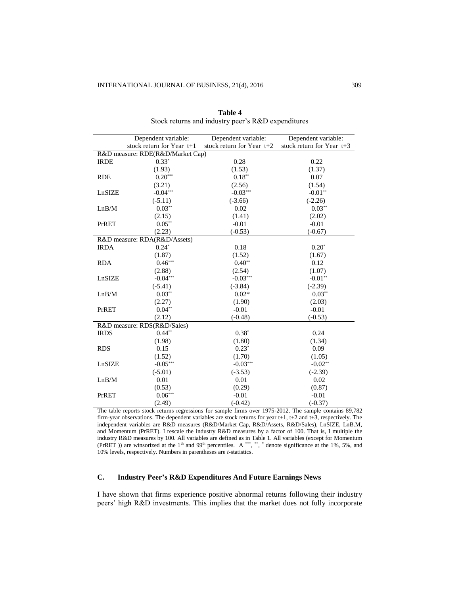|                                  | Dependent variable:          | Dependent variable:         | Dependent variable:         |  |  |  |  |  |
|----------------------------------|------------------------------|-----------------------------|-----------------------------|--|--|--|--|--|
|                                  | stock return for Year t+1    | stock return for Year $t+2$ | stock return for Year $t+3$ |  |  |  |  |  |
| R&D measure: RDE(R&D/Market Cap) |                              |                             |                             |  |  |  |  |  |
| <b>IRDE</b>                      | $0.33*$                      | 0.28                        | 0.22                        |  |  |  |  |  |
|                                  | (1.93)                       | (1.53)                      | (1.37)                      |  |  |  |  |  |
| <b>RDE</b>                       | $0.20***$                    | $0.18**$                    | 0.07                        |  |  |  |  |  |
|                                  | (3.21)                       | (2.56)                      | (1.54)                      |  |  |  |  |  |
| LnSIZE                           | $-0.04***$                   | $-0.03***$                  | $-0.01**$                   |  |  |  |  |  |
|                                  | $(-5.11)$                    | $(-3.66)$                   | $(-2.26)$                   |  |  |  |  |  |
| LnB/M                            | $0.03**$                     | 0.02                        | $0.03**$                    |  |  |  |  |  |
|                                  | (2.15)                       | (1.41)                      | (2.02)                      |  |  |  |  |  |
| PrRET                            | $0.05**$                     | $-0.01$                     | $-0.01$                     |  |  |  |  |  |
|                                  | (2.23)                       | $(-0.53)$                   | $(-0.67)$                   |  |  |  |  |  |
|                                  | R&D measure: RDA(R&D/Assets) |                             |                             |  |  |  |  |  |
| <b>IRDA</b>                      | $0.24*$                      | 0.18                        | $0.20*$                     |  |  |  |  |  |
|                                  | (1.87)                       | (1.52)                      | (1.67)                      |  |  |  |  |  |
| <b>RDA</b>                       | $0.46***$                    | $0.40**$                    | 0.12                        |  |  |  |  |  |
|                                  | (2.88)                       | (2.54)                      | (1.07)                      |  |  |  |  |  |
| LnSIZE                           | $-0.04***$                   | $-0.03***$                  | $-0.01**$                   |  |  |  |  |  |
|                                  | $(-5.41)$                    | $(-3.84)$                   | $(-2.39)$                   |  |  |  |  |  |
| LnB/M                            | $0.03**$                     | $0.02*$                     | $0.03**$                    |  |  |  |  |  |
|                                  | (2.27)                       | (1.90)                      | (2.03)                      |  |  |  |  |  |
| PrRET                            | $0.04**$                     | $-0.01$                     | $-0.01$                     |  |  |  |  |  |
|                                  | (2.12)                       | $(-0.48)$                   | $(-0.53)$                   |  |  |  |  |  |
|                                  | R&D measure: RDS(R&D/Sales)  |                             |                             |  |  |  |  |  |
| <b>IRDS</b>                      | $0.44**$                     | $0.38*$                     | 0.24                        |  |  |  |  |  |
|                                  | (1.98)                       | (1.80)                      | (1.34)                      |  |  |  |  |  |
| <b>RDS</b>                       | 0.15                         | $0.23*$                     | 0.09                        |  |  |  |  |  |
|                                  | (1.52)                       | (1.70)                      | (1.05)                      |  |  |  |  |  |
| LnSIZE                           | $-0.05***$                   | $-0.03***$                  | $-0.02**$                   |  |  |  |  |  |
|                                  | $(-5.01)$                    | $(-3.53)$                   | $(-2.39)$                   |  |  |  |  |  |
| LnB/M                            | 0.01                         | 0.01                        | 0.02                        |  |  |  |  |  |
|                                  | (0.53)                       | (0.29)                      | (0.87)                      |  |  |  |  |  |
| PrRET                            | $0.06^{\ast\ast\ast}$        | $-0.01$                     | $-0.01$                     |  |  |  |  |  |
|                                  | (2.49)                       | $(-0.42)$                   | $(-0.37)$                   |  |  |  |  |  |

**Table 4** Stock returns and industry peer's R&D expenditures

The table reports stock returns regressions for sample firms over 1975-2012. The sample contains 89,782 firm-year observations. The dependent variables are stock returns for year t+1, t+2 and t+3, respectively. The independent variables are R&D measures (R&D/Market Cap, R&D/Assets, R&D/Sales), LnSIZE, LnB.M, and Momentum (PrRET). I rescale the industry R&D measures by a factor of 100. That is, I multiple the industry R&D measures by 100. All variables are defined as in Table 1. All variables (except for Momentum (PrRET)) are winsorized at the  $1<sup>th</sup>$  and  $99<sup>th</sup>$  percentiles. A \*\*\*, \*\*, \* denote significance at the 1%, 5%, and 10% levels, respectively. Numbers in parentheses are *t*-statistics.

# **C. Industry Peer's R&D Expenditures And Future Earnings News**

I have shown that firms experience positive abnormal returns following their industry peers' high R&D investments. This implies that the market does not fully incorporate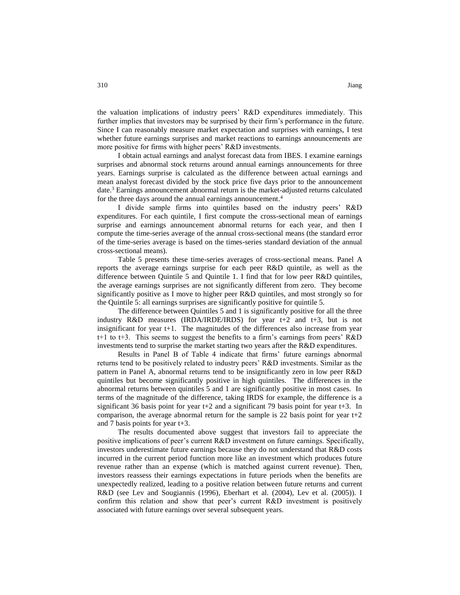the valuation implications of industry peers' R&D expenditures immediately. This further implies that investors may be surprised by their firm's performance in the future. Since I can reasonably measure market expectation and surprises with earnings, I test whether future earnings surprises and market reactions to earnings announcements are more positive for firms with higher peers' R&D investments.

I obtain actual earnings and analyst forecast data from IBES. I examine earnings surprises and abnormal stock returns around annual earnings announcements for three years. Earnings surprise is calculated as the difference between actual earnings and mean analyst forecast divided by the stock price five days prior to the announcement date. <sup>3</sup> Earnings announcement abnormal return is the market-adjusted returns calculated for the three days around the annual earnings announcement.<sup>4</sup>

I divide sample firms into quintiles based on the industry peers' R&D expenditures. For each quintile, I first compute the cross-sectional mean of earnings surprise and earnings announcement abnormal returns for each year, and then I compute the time-series average of the annual cross-sectional means (the standard error of the time-series average is based on the times-series standard deviation of the annual cross-sectional means).

Table 5 presents these time-series averages of cross-sectional means. Panel A reports the average earnings surprise for each peer R&D quintile, as well as the difference between Quintile 5 and Quintile 1. I find that for low peer R&D quintiles, the average earnings surprises are not significantly different from zero. They become significantly positive as I move to higher peer R&D quintiles, and most strongly so for the Quintile 5: all earnings surprises are significantly positive for quintile 5.

The difference between Quintiles 5 and 1 is significantly positive for all the three industry R&D measures (IRDA/IRDE/IRDS) for year  $t+2$  and  $t+3$ , but is not insignificant for year t+1. The magnitudes of the differences also increase from year t+1 to t+3. This seems to suggest the benefits to a firm's earnings from peers' R&D investments tend to surprise the market starting two years after the R&D expenditures.

Results in Panel B of Table 4 indicate that firms' future earnings abnormal returns tend to be positively related to industry peers' R&D investments. Similar as the pattern in Panel A, abnormal returns tend to be insignificantly zero in low peer R&D quintiles but become significantly positive in high quintiles. The differences in the abnormal returns between quintiles 5 and 1 are significantly positive in most cases. In terms of the magnitude of the difference, taking IRDS for example, the difference is a significant 36 basis point for year  $t+2$  and a significant 79 basis point for year  $t+3$ . In comparison, the average abnormal return for the sample is 22 basis point for year  $t+2$ and 7 basis points for year t+3.

The results documented above suggest that investors fail to appreciate the positive implications of peer's current R&D investment on future earnings. Specifically, investors underestimate future earnings because they do not understand that R&D costs incurred in the current period function more like an investment which produces future revenue rather than an expense (which is matched against current revenue). Then, investors reassess their earnings expectations in future periods when the benefits are unexpectedly realized, leading to a positive relation between future returns and current R&D (see Lev and Sougiannis (1996), Eberhart et al. (2004), Lev et al. (2005)). I confirm this relation and show that peer's current R&D investment is positively associated with future earnings over several subsequent years.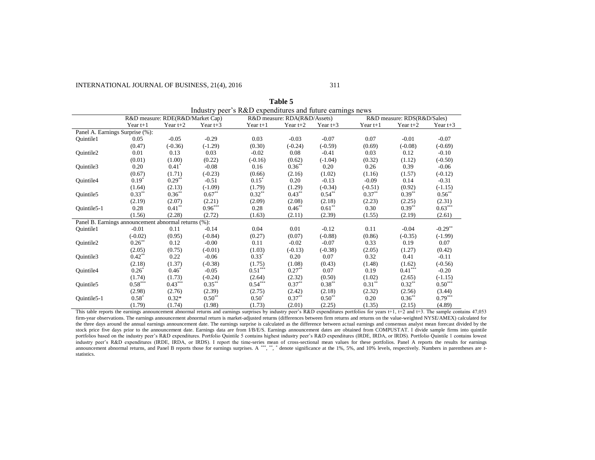#### INTERNATIONAL JOURNAL OF BUSINESS, 21(4), 2016 311

| Industry peer's R&D expenditures and future earnings news |            |                                  |            |            |                              |            |            |                             |            |  |
|-----------------------------------------------------------|------------|----------------------------------|------------|------------|------------------------------|------------|------------|-----------------------------|------------|--|
|                                                           |            | R&D measure: RDE(R&D/Market Cap) |            |            | R&D measure: RDA(R&D/Assets) |            |            | R&D measure: RDS(R&D/Sales) |            |  |
|                                                           | Year $t+1$ | Year $t+2$                       | Year $t+3$ | Year $t+1$ | Year $t+2$                   | Year $t+3$ | Year $t+1$ | Year $t+2$                  | Year $t+3$ |  |
| Panel A. Earnings Surprise (%):                           |            |                                  |            |            |                              |            |            |                             |            |  |
| Quintile1                                                 | 0.05       | $-0.05$                          | $-0.29$    | 0.03       | $-0.03$                      | $-0.07$    | 0.07       | $-0.01$                     | $-0.07$    |  |
|                                                           | (0.47)     | $(-0.36)$                        | $(-1.29)$  | (0.30)     | $(-0.24)$                    | $(-0.59)$  | (0.69)     | $(-0.08)$                   | $(-0.69)$  |  |
| Quintile2                                                 | 0.01       | 0.13                             | 0.03       | $-0.02$    | 0.08                         | $-0.41$    | 0.03       | 0.12                        | $-0.10$    |  |
|                                                           | (0.01)     | (1.00)                           | (0.22)     | $(-0.16)$  | (0.62)                       | $(-1.04)$  | (0.32)     | (1.12)                      | $(-0.50)$  |  |
| Quintile3                                                 | 0.20       | $0.41*$                          | $-0.08$    | 0.16       | $0.36**$                     | 0.20       | 0.26       | 0.39                        | $-0.06$    |  |
|                                                           | (0.67)     | (1.71)                           | $(-0.23)$  | (0.66)     | (2.16)                       | (1.02)     | (1.16)     | (1.57)                      | $(-0.12)$  |  |
| Quintile4                                                 | $0.19*$    | $0.29***$                        | $-0.51$    | $0.15*$    | 0.20                         | $-0.13$    | $-0.09$    | 0.14                        | $-0.31$    |  |
|                                                           | (1.64)     | (2.13)                           | $(-1.09)$  | (1.79)     | (1.29)                       | $(-0.34)$  | $(-0.51)$  | (0.92)                      | $(-1.15)$  |  |
| Quintile5                                                 | $0.33***$  | $0.36**$                         | $0.67**$   | $0.32**$   | $0.43***$                    | $0.54***$  | $0.37**$   | $0.39**$                    | $0.56**$   |  |
|                                                           | (2.19)     | (2.07)                           | (2.21)     | (2.09)     | (2.08)                       | (2.18)     | (2.23)     | (2.25)                      | (2.31)     |  |
| Ouintile5-1                                               | 0.28       | $0.41***$                        | $0.96***$  | 0.28       | $0.46**$                     | $0.61**$   | 0.30       | $0.39**$                    | $0.63***$  |  |
|                                                           | (1.56)     | (2.28)                           | (2.72)     | (1.63)     | (2.11)                       | (2.39)     | (1.55)     | (2.19)                      | (2.61)     |  |
| Panel B. Earnings announcement abnormal returns (%):      |            |                                  |            |            |                              |            |            |                             |            |  |
| Quintile1                                                 | $-0.01$    | 0.11                             | $-0.14$    | 0.04       | 0.01                         | $-0.12$    | 0.11       | $-0.04$                     | $-0.29**$  |  |
|                                                           | $(-0.02)$  | (0.95)                           | $(-0.84)$  | (0.27)     | (0.07)                       | $(-0.88)$  | (0.86)     | $(-0.35)$                   | $(-1.99)$  |  |
| Quintile2                                                 | $0.26**$   | 0.12                             | $-0.00$    | 0.11       | $-0.02$                      | $-0.07$    | 0.33       | 0.19                        | 0.07       |  |
|                                                           | (2.05)     | (0.75)                           | $(-0.01)$  | (1.03)     | $(-0.13)$                    | $(-0.38)$  | (2.05)     | (1.27)                      | (0.42)     |  |
| Quintile3                                                 | $0.42**$   | 0.22                             | $-0.06$    | $0.33*$    | 0.20                         | 0.07       | 0.32       | 0.41                        | $-0.11$    |  |
|                                                           | (2.18)     | (1.37)                           | $(-0.38)$  | (1.75)     | (1.08)                       | (0.43)     | (1.48)     | (1.62)                      | $(-0.56)$  |  |
| Quintile4                                                 | $0.26*$    | $0.46*$                          | $-0.05$    | $0.51***$  | $0.27**$                     | 0.07       | 0.19       | $0.41***$                   | $-0.20$    |  |
|                                                           | (1.74)     | (1.73)                           | $(-0.24)$  | (2.64)     | (2.32)                       | (0.50)     | (1.02)     | (2.65)                      | $(-1.15)$  |  |
| Quintile <sub>5</sub>                                     | $0.58***$  | $0.43***$                        | $0.35***$  | $0.54***$  | $0.37**$                     | $0.38***$  | $0.31***$  | $0.32***$                   | $0.50***$  |  |
|                                                           | (2.98)     | (2.76)                           | (2.39)     | (2.75)     | (2.42)                       | (2.18)     | (2.32)     | (2.56)                      | (3.44)     |  |
| Ouintile5-1                                               | $0.58*$    | $0.32*$                          | $0.50**$   | $0.50*$    | $0.37**$                     | $0.50**$   | 0.20       | $0.36**$                    | $0.79***$  |  |
|                                                           | (1.79)     | (1.74)                           | (1.98)     | (1.73)     | (2.01)                       | (2.25)     | (1.35)     | (2.15)                      | (4.89)     |  |

**Table 5**

This table reports the earnings announcement abnormal returns and earnings surprises by industry peer's R&D expenditures portfolios for years t+1, t+2 and t+3. The sample contains 47,053 firm-year observations. The earnings announcement abnormal return is market-adjusted returns (differences between firm returns and returns on the value-weighted NYSE/AMEX) calculated for the three days around the annual earnings announcement date. The earnings surprise is calculated as the difference between actual earnings and consensus analyst mean forecast divided by the stock price five days prior to the announcement date. Earnings data are from I/B/E/S. Earnings announcement dates are obtained from COMPUSTAT. I divide sample firms into quintile portfolios based on the industry peer's R&D expenditures. Portfolio Quintile 5 contains highest industry peer's R&D expenditures (IRDE, IRDA, or IRDS). Portfolio Quintile 1 contains lowest industry peer's R&D expenditures (IRDE, IRDA, or IRDS). I report the time-series mean of cross-sectional mean values for these portfolios. Panel A reports the results for earnings announcement abnormal returns, and Panel B reports those for earnings surprises. A \*\*\*, \*\*, \* denote significance at the 1%, 5%, and 10% levels, respectively. Numbers in parentheses are *t*statistics.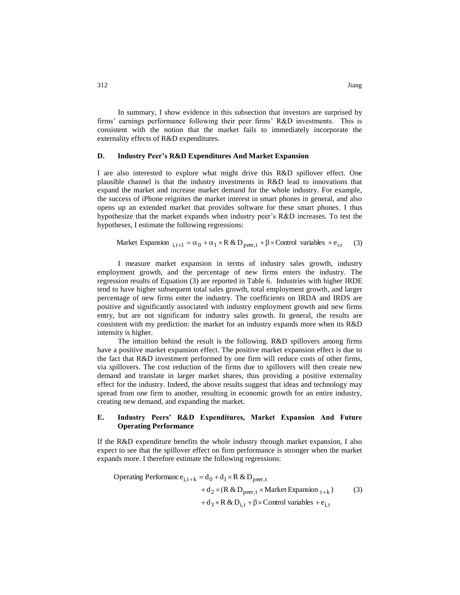In summary, I show evidence in this subsection that investors are surprised by firms' earnings performance following their peer firms' R&D investments. This is consistent with the notion that the market fails to immediately incorporate the externality effects of R&D expenditures.

#### **D. Industry Peer's R&D Expenditures And Market Expansion**

I are also interested to explore what might drive this R&D spillover effect. One plausible channel is that the industry investments in R&D lead to innovations that expand the market and increase market demand for the whole industry. For example, the success of iPhone reignites the market interest in smart phones in general, and also opens up an extended market that provides software for these smart phones. I thus hypothesize that the market expands when industry peer's R&D increases. To test the hypotheses, I estimate the following regressions:

Market Expansion 
$$
_{i,t+1} = \alpha_0 + \alpha_1 \times R \& D_{peer,t} + \beta \times Control \ variables + e_{i,r}
$$
 (3)

I measure market expansion in terms of industry sales growth, industry employment growth, and the percentage of new firms enters the industry. The regression results of Equation (3) are reported in Table 6. Industries with higher IRDE tend to have higher subsequent total sales growth, total employment growth, and larger percentage of new firms enter the industry. The coefficients on IRDA and IRDS are positive and significantly associated with industry employment growth and new firms entry, but are not significant for industry sales growth. In general, the results are consistent with my prediction: the market for an industry expands more when its R&D intensity is higher.

The intuition behind the result is the following. R&D spillovers among firms have a positive market expansion effect. The positive market expansion effect is due to the fact that R&D investment performed by one firm will reduce costs of other firms, via spillovers. The cost reduction of the firms due to spillovers will then create new demand and translate in larger market shares, thus providing a positive externality effect for the industry. Indeed, the above results suggest that ideas and technology may spread from one firm to another, resulting in economic growth for an entire industry, creating new demand, and expanding the market.

# **E. Industry Peers' R&D Expenditures, Market Expansion And Future Operating Performance**

If the R&D expenditure benefits the whole industry through market expansion, I also expect to see that the spillover effect on firm performance is stronger when the market expands more. I therefore estimate the following regressions:

Operating Performance 
$$
e_{i,t+k} = d_0 + d_1 \times R \& D_{peer,t}
$$
  
+  $d_2 \times (R \& D_{peer,t} \times Market Expansion_{t+k})$  (3)  
+  $d_3 \times R \& D_{i,t} + \beta \times Control variables + e_{i,t}$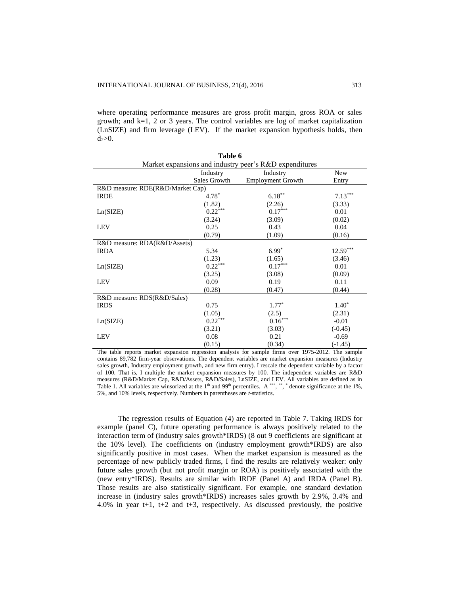where operating performance measures are gross profit margin, gross ROA or sales growth; and  $k=1$ , 2 or 3 years. The control variables are log of market capitalization (LnSIZE) and firm leverage (LEV). If the market expansion hypothesis holds, then  $d_2>0$ .

|                                                        | Table 6   |                       |            |  |  |  |  |  |  |  |
|--------------------------------------------------------|-----------|-----------------------|------------|--|--|--|--|--|--|--|
| Market expansions and industry peer's R&D expenditures |           |                       |            |  |  |  |  |  |  |  |
|                                                        | Industry  | Industry              | <b>New</b> |  |  |  |  |  |  |  |
| Sales Growth<br><b>Employment Growth</b><br>Entry      |           |                       |            |  |  |  |  |  |  |  |
| R&D measure: RDE(R&D/Market Cap)                       |           |                       |            |  |  |  |  |  |  |  |
| <b>IRDE</b>                                            | $4.78*$   | $6.18***$             | $7.13***$  |  |  |  |  |  |  |  |
|                                                        | (1.82)    | (2.26)                | (3.33)     |  |  |  |  |  |  |  |
| Ln(SIZE)                                               | $0.22***$ | $0.17***$             | 0.01       |  |  |  |  |  |  |  |
|                                                        | (3.24)    | (3.09)                | (0.02)     |  |  |  |  |  |  |  |
| LEV                                                    | 0.25      | 0.43                  | 0.04       |  |  |  |  |  |  |  |
|                                                        | (0.79)    | (1.09)                | (0.16)     |  |  |  |  |  |  |  |
| R&D measure: RDA(R&D/Assets)                           |           |                       |            |  |  |  |  |  |  |  |
| <b>IRDA</b>                                            | 5.34      | $6.99*$               | $12.59***$ |  |  |  |  |  |  |  |
|                                                        | (1.23)    | (1.65)                | (3.46)     |  |  |  |  |  |  |  |
| Ln(SIZE)                                               | $0.22***$ | $0.17***$             | 0.01       |  |  |  |  |  |  |  |
|                                                        | (3.25)    | (3.08)                | (0.09)     |  |  |  |  |  |  |  |
| <b>LEV</b>                                             | 0.09      | 0.19                  | 0.11       |  |  |  |  |  |  |  |
|                                                        | (0.28)    | (0.47)                | (0.44)     |  |  |  |  |  |  |  |
| R&D measure: RDS(R&D/Sales)                            |           |                       |            |  |  |  |  |  |  |  |
| <b>IRDS</b>                                            | 0.75      | $1.77*$               | $1.40*$    |  |  |  |  |  |  |  |
|                                                        | (1.05)    | (2.5)                 | (2.31)     |  |  |  |  |  |  |  |
| Ln(SIZE)                                               | $0.22***$ | $0.16^{\ast\ast\ast}$ | $-0.01$    |  |  |  |  |  |  |  |
|                                                        | (3.21)    | (3.03)                | $(-0.45)$  |  |  |  |  |  |  |  |
| LEV                                                    | 0.08      | 0.21                  | $-0.69$    |  |  |  |  |  |  |  |
|                                                        | (0.15)    | (0.34)                | $(-1.45)$  |  |  |  |  |  |  |  |

The table reports market expansion regression analysis for sample firms over 1975-2012. The sample contains 89,782 firm-year observations. The dependent variables are market expansion measures (Industry sales growth, Industry employment growth, and new firm entry). I rescale the dependent variable by a factor of 100. That is, I multiple the market expansion measures by 100. The independent variables are R&D measures (R&D/Market Cap, R&D/Assets, R&D/Sales), LnSIZE, and LEV. All variables are defined as in Table 1. All variables are winsorized at the  $1<sup>th</sup>$  and 99<sup>th</sup> percentiles. A \*\*\*, \*\*, \* denote significance at the 1%, 5%, and 10% levels, respectively. Numbers in parentheses are *t*-statistics.

The regression results of Equation (4) are reported in Table 7. Taking IRDS for example (panel C), future operating performance is always positively related to the interaction term of (industry sales growth\*IRDS) (8 out 9 coefficients are significant at the 10% level). The coefficients on (industry employment growth\*IRDS) are also significantly positive in most cases. When the market expansion is measured as the percentage of new publicly traded firms, I find the results are relatively weaker: only future sales growth (but not profit margin or ROA) is positively associated with the (new entry\*IRDS). Results are similar with IRDE (Panel A) and IRDA (Panel B). Those results are also statistically significant. For example, one standard deviation increase in (industry sales growth\*IRDS) increases sales growth by 2.9%, 3.4% and 4.0% in year t+1, t+2 and t+3, respectively. As discussed previously, the positive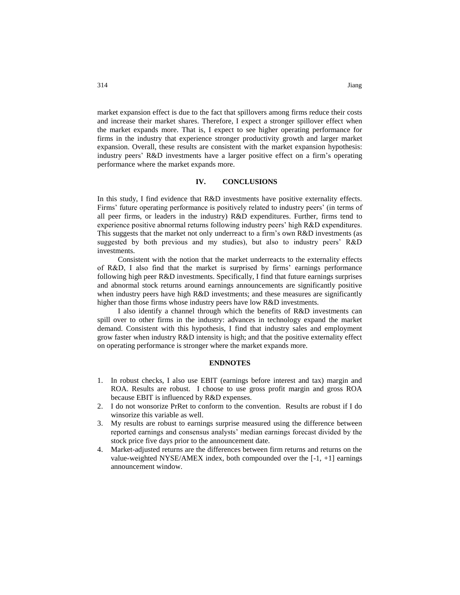market expansion effect is due to the fact that spillovers among firms reduce their costs and increase their market shares. Therefore, I expect a stronger spillover effect when

the market expands more. That is, I expect to see higher operating performance for firms in the industry that experience stronger productivity growth and larger market expansion. Overall, these results are consistent with the market expansion hypothesis: industry peers' R&D investments have a larger positive effect on a firm's operating performance where the market expands more.

# **IV. CONCLUSIONS**

In this study, I find evidence that R&D investments have positive externality effects. Firms' future operating performance is positively related to industry peers' (in terms of all peer firms, or leaders in the industry) R&D expenditures. Further, firms tend to experience positive abnormal returns following industry peers' high R&D expenditures. This suggests that the market not only underreact to a firm's own R&D investments (as suggested by both previous and my studies), but also to industry peers' R&D investments.

Consistent with the notion that the market underreacts to the externality effects of R&D, I also find that the market is surprised by firms' earnings performance following high peer R&D investments. Specifically, I find that future earnings surprises and abnormal stock returns around earnings announcements are significantly positive when industry peers have high R&D investments; and these measures are significantly higher than those firms whose industry peers have low R&D investments.

I also identify a channel through which the benefits of R&D investments can spill over to other firms in the industry: advances in technology expand the market demand. Consistent with this hypothesis, I find that industry sales and employment grow faster when industry R&D intensity is high; and that the positive externality effect on operating performance is stronger where the market expands more.

## **ENDNOTES**

- 1. In robust checks, I also use EBIT (earnings before interest and tax) margin and ROA. Results are robust. I choose to use gross profit margin and gross ROA because EBIT is influenced by R&D expenses.
- 2. I do not wonsorize PrRet to conform to the convention. Results are robust if I do winsorize this variable as well.
- 3. My results are robust to earnings surprise measured using the difference between reported earnings and consensus analysts' median earnings forecast divided by the stock price five days prior to the announcement date.
- 4. Market-adjusted returns are the differences between firm returns and returns on the value-weighted NYSE/AMEX index, both compounded over the  $[-1, +1]$  earnings announcement window.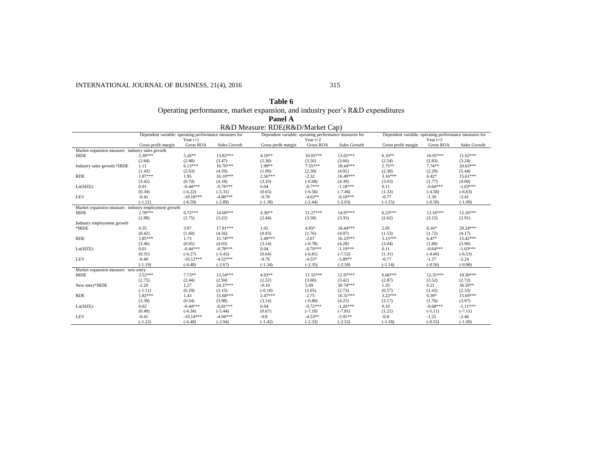# INTERNATIONAL JOURNAL OF BUSINESS, 21(4), 2016 315

# **Table 6** Operating performance, market expansion, and industry peer's R&D expenditures

|                                                      |                                                        |                  |              | Panel A                                                                                    |                  |              |                                                        |                  |              |
|------------------------------------------------------|--------------------------------------------------------|------------------|--------------|--------------------------------------------------------------------------------------------|------------------|--------------|--------------------------------------------------------|------------------|--------------|
|                                                      | Dependent variable: operating performance measures for |                  |              | R&D Measure: RDE(R&D/Market Cap)<br>Dependent variable: operating performance measures for |                  |              | Dependent variable: operating performance measures for |                  |              |
|                                                      |                                                        | Year $t+1$       |              |                                                                                            | Year $t+2$       |              |                                                        | Year $t+3$       |              |
|                                                      | Gross profit margin                                    | <b>Gross ROA</b> | Sales Growth | Gross profit margin                                                                        | <b>Gross ROA</b> | Sales Growth | Gross profit margin                                    | <b>Gross ROA</b> | Sales Growth |
| Market expansion measure: industry sales growth      |                                                        |                  |              |                                                                                            |                  |              |                                                        |                  |              |
| <b>IRDE</b>                                          | 2.39***                                                | $5.26**$         | $13.82***$   | $4.10**$                                                                                   | $10.05***$       | $13.65***$   | $6.10**$                                               | $10.95***$       | $11.02***$   |
|                                                      | (2.64)                                                 | (2.48)           | (3.47)       | (2.36)                                                                                     | (3.56)           | (3.66)       | (2.54)                                                 | (2.83)           | (3.24)       |
| Industry sales growth *IRDE                          | 1.11                                                   | $6.13***$        | $16.76***$   | 1.99**                                                                                     | $7.55***$        | 18.44***     | $2.75**$                                               | $7.74**$         | $20.63***$   |
|                                                      | (1.43)                                                 | (2.63)           | (4.59)       | (1.99)                                                                                     | (2.58)           | (4.91)       | (2.30)                                                 | (2.29)           | (5.44)       |
| <b>RDE</b>                                           | 1.87***                                                | 1.95             | $16.10***$   | $2.56***$                                                                                  | $-2.32$          | 16.49***     | $3.16***$                                              | $6.42*$          | $15.61***$   |
|                                                      | (3.42)                                                 | (0.74)           | (4.18)       | (3.10)                                                                                     | $(-0.68)$        | (4.39)       | (3.03)                                                 | (1.77)           | (4.00)       |
| Ln(SIZE)                                             | 0.01                                                   | $-0.44***$       | $-0.76***$   | 0.04                                                                                       | $-0.7***$        | $-1.18***$   | 0.11                                                   | $-0.64***$       | $-1.03***$   |
|                                                      | (0.34)                                                 | $(-6.22)$        | $(-5.31)$    | (0.65)                                                                                     | $(-6.56)$        | $(-7.46)$    | (1.33)                                                 | $(-4.58)$        | $(-6.63)$    |
| <b>LEV</b>                                           | $-0.41$                                                | $-10.18***$      | $-4.86***$   | $-0.78$                                                                                    | $-4.63**$        | $-6.10***$   | $-0.77$                                                | $-1.30$          | $-2.41$      |
|                                                      | $(-1.21)$                                              | $(-6.59)$        | $(-2.89)$    | $(-1.38)$                                                                                  | $(-2.44)$        | $(-2.63)$    | $(-1.15)$                                              | $(-0.58)$        | $(-1.09)$    |
| Market expansion measure: industry employment growth |                                                        |                  |              |                                                                                            |                  |              |                                                        |                  |              |
| <b>IRDE</b>                                          | $2.78***$                                              | $6.72***$        | $14.66***$   | $4.36**$                                                                                   | $11.27***$       | 14.97***     | $6.23***$                                              | $12.16***$       | $12.16***$   |
|                                                      | (2.98)                                                 | (2.75)           | (3.22)       | (2.44)                                                                                     | (3.58)           | (3.35)       | (2.62)                                                 | (3.12)           | (2.91)       |
| Industry employment growth                           |                                                        |                  |              |                                                                                            |                  |              |                                                        |                  |              |
| *IRDE                                                | 0.35                                                   | 3.97             | 17.81***     | 1.02                                                                                       | $4.85*$          | 18.44***     | 2.05                                                   | $6.16*$          | $20.24***$   |
|                                                      | (0.42)                                                 | (1.60)           | (4.56)       | (0.93)                                                                                     | (1.76)           | (4.07)       | (1.53)                                                 | (1.72)           | (4.17)       |
| <b>RDE</b>                                           | 1.85***                                                | 1.73             | 15.74***     | 2.49***                                                                                    | $-2.67$          | $16.23***$   | $3.13***$                                              | $6.47*$          | $15.42***$   |
|                                                      | (3.46)                                                 | (0.65)           | (4.03)       | (3.14)                                                                                     | $(-0.78)$        | (4.28)       | (3.04)                                                 | (1.80)           | (3.90)       |
| Ln(SIZE)                                             | 0.01                                                   | $-0.44***$       | $-0.78***$   | 0.04                                                                                       | $-0.70***$       | $-1.19***$   | 0.11                                                   | $-0.64***$       | $-1.03***$   |
|                                                      | (0.31)                                                 | $(-6.27)$        | $(-5.43)$    | (0.64)                                                                                     | $(-6.81)$        | $(-7.52)$    | (1.31)                                                 | $(-4.66)$        | $(-6.53)$    |
| <b>LEV</b>                                           | $-0.40$                                                | $-10.12***$      | $-4.52***$   | $-0.76$                                                                                    | $-4.55*$         | $-5.89**$    | $-0.77$                                                | $-1.27$          | $-2.24$      |
|                                                      | $(-1.19)$                                              | $(-6.48)$        | $(-2.67)$    | $(-1.34)$                                                                                  | $(-2.35)$        | $(-2.50)$    | $(-1.14)$                                              | $(-0.56)$        | $(-0.98)$    |
| Market expansion measure: new entry                  |                                                        |                  |              |                                                                                            |                  |              |                                                        |                  |              |
| <b>IRDE</b>                                          | $3.52***$                                              | $7.73**$         | $13.54***$   | 4.93**                                                                                     | $11.55***$       | 12.97***     | $6.66***$                                              | $12.35***$       | $10.30***$   |
|                                                      | (2.75)                                                 | (2.44)           | (2.94)       | (2.32)                                                                                     | (3.68)           | (3.42)       | (2.87)                                                 | (3.52)           | (2.72)       |
| New entry*IRDE                                       | $-2.20$                                                | 1.27             | 24.37***     | $-0.19$                                                                                    | 5.09             | $30.74***$   | 1.35                                                   | 9.21             | $36.50**$    |
|                                                      | $(-1.11)$                                              | (0.29)           | (3.15)       | $(-0.10)$                                                                                  | (1.05)           | (2.73)       | (0.57)                                                 | (1.42)           | (2.33)       |
| <b>RDE</b>                                           | $1.82***$                                              | 1.43             | $15.68***$   | $2.47***$                                                                                  | $-2.75$          | $16.31***$   | $3.22***$                                              | $6.39*$          | $15.69***$   |
|                                                      | (3.39)                                                 | (0.54)           | (3.98)       | (3.14)                                                                                     | $(-0.80)$        | (4.25)       | (3.17)                                                 | (1.76)           | (3.97)       |
| Ln(SIZE)                                             | 0.02                                                   | $-0.44***$       | $-0.81***$   | 0.04                                                                                       | $-0.72***$       | $-1.26***$   | 0.10                                                   | $-0.68***$       | $-1.11***$   |
|                                                      | (0.49)                                                 | $(-6.34)$        | $(-5.44)$    | (0.67)                                                                                     | $(-7.10)$        | $(-7.81)$    | (1.21)                                                 | $(-5.11)$        | $(-7.11)$    |
| <b>LEV</b>                                           | $-0.41$                                                | $-10.14***$      | $-4.94***$   | $-0.8$                                                                                     | $-4.53**$        | $-5.91**$    | $-0.8$                                                 | $-1.25$          | $-2.46$      |
|                                                      | $(-1.22)$                                              | $(-6.48)$        | $(-2.94)$    | $(-1.42)$                                                                                  | $(-2.33)$        | $(-2.52)$    | $(-1.18)$                                              | $(-0.55)$        | $(-1.09)$    |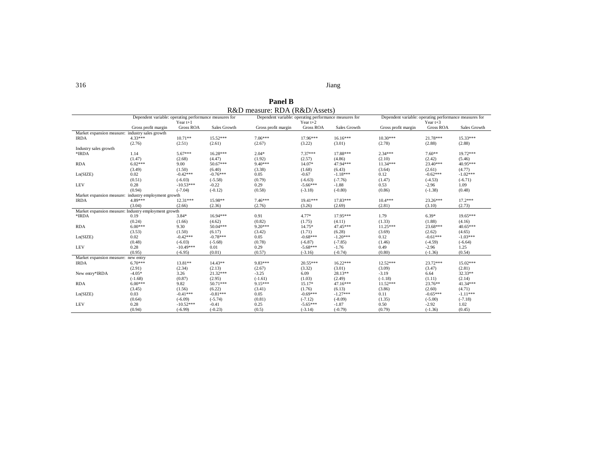316 Jiang Serbian Serbian Serbian Serbian Serbian Serbian Serbian Serbian Serbian Serbian Serbian Serbian Serbian Serbian Serbian Serbian Serbian Serbian Serbian Serbian Serbian Serbian Serbian Serbian Serbian Serbian Serb

**Panel B** R&D measure: RDA (R&D/Assets)

|                                                    | Dependent variable: operating performance measures for<br>Year $t+1$ |                          |                   |                     | Dependent variable: operating performance measures for<br>Year $t+2$ |                      |                     | Dependent variable: operating performance measures for<br>Year $t+3$ |                   |  |  |
|----------------------------------------------------|----------------------------------------------------------------------|--------------------------|-------------------|---------------------|----------------------------------------------------------------------|----------------------|---------------------|----------------------------------------------------------------------|-------------------|--|--|
|                                                    | Gross profit margin                                                  | <b>Gross ROA</b>         | Sales Growth      | Gross profit margin | <b>Gross ROA</b>                                                     | Sales Growth         | Gross profit margin | <b>Gross ROA</b>                                                     | Sales Growth      |  |  |
| Market expansion measure: industry sales growth    |                                                                      |                          |                   |                     |                                                                      |                      |                     |                                                                      |                   |  |  |
| <b>IRDA</b>                                        | $4.33***$                                                            | $10.71**$                | 15.52***          | 7.06***             | 17.96***                                                             | $16.16***$           | $10.30***$          | 21.78***                                                             | 15.33***          |  |  |
|                                                    | (2.76)                                                               | (2.51)                   | (2.61)            | (2.67)              | (3.22)                                                               | (3.01)               | (2.78)              | (2.88)                                                               | (2.88)            |  |  |
| Industry sales growth                              |                                                                      |                          |                   |                     |                                                                      |                      |                     |                                                                      |                   |  |  |
| *IRDA                                              | 1.14                                                                 | $5.67***$                | 16.28***          | $2.04*$             | $7.37***$                                                            | 17.88***             | $2.34***$           | $7.60**$                                                             | 19.72***          |  |  |
|                                                    | (1.47)                                                               | (2.68)                   | (4.47)            | (1.92)              | (2.57)                                                               | (4.86)               | (2.10)              | (2.42)                                                               | (5.46)            |  |  |
| <b>RDA</b>                                         | $6.02***$                                                            | 9.00                     | 50.67***          | $9.40***$           | 14.07*                                                               | 47.94***             | $11.34***$          | $23.40***$                                                           | 40.95***          |  |  |
|                                                    | (3.49)                                                               | (1.50)                   | (6.40)            | (3.38)              | (1.68)                                                               | (6.43)               | (3.64)              | (2.61)                                                               | (4.77)            |  |  |
| Ln(SIZE)                                           | 0.02                                                                 | $-0.42***$               | $-0.76***$        | 0.05                | $-0.67$                                                              | $-1.18***$           | 0.12                | $-0.62***$                                                           | $-1.02***$        |  |  |
|                                                    | (0.51)                                                               | $(-6.03)$                | $(-5.58)$         | (0.79)              | $(-6.63)$                                                            | $(-7.76)$            | (1.47)              | $(-4.53)$                                                            | $(-6.71)$         |  |  |
| <b>LEV</b>                                         | 0.28                                                                 | $-10.53***$              | $-0.22$           | 0.29                | $-5.66***$                                                           | $-1.88$              | 0.53                | $-2.96$                                                              | 1.09              |  |  |
|                                                    | (0.94)                                                               | $(-7.04)$                | $(-0.12)$         | (0.58)              | $(-3.18)$                                                            | $(-0.80)$            | (0.86)              | $(-1.38)$                                                            | (0.48)            |  |  |
|                                                    | Market expansion measure: industry employment growth                 |                          |                   |                     |                                                                      |                      |                     |                                                                      |                   |  |  |
| <b>IRDA</b>                                        | 4.89***                                                              | $12.31***$               | 15.98**           | $7.46***$           | $19.41***$                                                           | $17.83***$           | $10.4***$           | $23.26***$                                                           | $17.2***$         |  |  |
|                                                    | (3.04)                                                               | (2.66)                   | (2.36)            | (2.76)              | (3.26)                                                               | (2.69)               | (2.81)              | (3.10)                                                               | (2.73)            |  |  |
|                                                    | Market expansion measure: Industry employment growth                 |                          |                   |                     |                                                                      |                      |                     |                                                                      |                   |  |  |
| *IRDA                                              | 0.19                                                                 | $3.84*$                  | 16.94***          | 0.91                | $4.77*$                                                              | 17.95***             | 1.79                | $6.39*$                                                              | 19.65***          |  |  |
|                                                    | (0.24)                                                               | (1.66)                   | (4.62)            | (0.82)              | (1.75)                                                               | (4.11)               | (1.33)              | (1.88)                                                               | (4.16)            |  |  |
| <b>RDA</b>                                         | $6.00***$                                                            | 9.30                     | 50.04***          | $9.20***$           | 14.75*                                                               | 47.45***             | $11.25***$          | 23.68***                                                             | $40.65***$        |  |  |
|                                                    | (3.53)                                                               | (1.50)                   | (6.17)            | (3.42)              | (1.71)                                                               | (6.28)               | (3.69)              | (2.62)                                                               | (4.65)            |  |  |
| Ln(SIZE)                                           | 0.02                                                                 | $-0.42***$               | $-0.78***$        | 0.05                | $-0.68***$                                                           | $-1.20***$           | 0.12                | $-0.61***$                                                           | $-1.03***$        |  |  |
| <b>LEV</b>                                         | (0.48)<br>0.28                                                       | $(-6.03)$<br>$-10.49***$ | $(-5.68)$<br>0.01 | (0.78)<br>0.29      | $(-6.87)$<br>$-5.68***$                                              | $(-7.85)$<br>$-1.76$ | (1.46)<br>0.49      | $(-4.59)$<br>$-2.96$                                                 | $(-6.64)$<br>1.25 |  |  |
|                                                    | (0.95)                                                               | $(-6.95)$                | (0.01)            | (0.57)              | $(-3.16)$                                                            | $(-0.74)$            | (0.80)              | $(-1.36)$                                                            | (0.54)            |  |  |
|                                                    |                                                                      |                          |                   |                     |                                                                      |                      |                     |                                                                      |                   |  |  |
| Market expansion measure: new entry<br><b>IRDA</b> | $6.70***$                                                            | $13.81**$                | 14.43**           | 9.83***             | $20.55***$                                                           | $16.22***$           | $12.52***$          | $23.72***$                                                           | $15.02***$        |  |  |
|                                                    | (2.91)                                                               | (2.34)                   | (2.13)            | (2.67)              | (3.32)                                                               | (3.01)               | (3.09)              | (3.47)                                                               | (2.81)            |  |  |
| New entry*IRDA                                     | $-4.05*$                                                             | 3.26                     | $21.32***$        | $-3.25$             | 6.09                                                                 | $28.13**$            | $-3.19$             | 6.64                                                                 | 32.33**           |  |  |
|                                                    | $(-1.68)$                                                            | (0.87)                   | (2.95)            | $(-1.61)$           | (1.03)                                                               | (2.49)               | $(-1.18)$           | (1.11)                                                               | (2.14)            |  |  |
| <b>RDA</b>                                         | $6.00***$                                                            | 9.82                     | 50.71***          | $9.15***$           | 15.17*                                                               | 47.16***             | $11.52***$          | 23.76**                                                              | 41.34***          |  |  |
|                                                    | (3.45)                                                               | (1.56)                   | (6.22)            | (3.41)              | (1.76)                                                               | (6.13)               | (3.86)              | (2.60)                                                               | (4.71)            |  |  |
| Ln(SIZE)                                           | 0.03                                                                 | $-0.41***$               | $-0.81***$        | 0.05                | $-0.69***$                                                           | $-1.27***$           | 0.11                | $-0.65***$                                                           | $-1.11***$        |  |  |
|                                                    | (0.64)                                                               | $(-6.09)$                | $(-5.74)$         | (0.81)              | $(-7.12)$                                                            | $(-8.09)$            | (1.35)              | $(-5.00)$                                                            | $(-7.18)$         |  |  |
| <b>LEV</b>                                         | 0.28                                                                 | $-10.52***$              | $-0.41$           | 0.25                | $-5.65***$                                                           | $-1.87$              | 0.50                | $-2.92$                                                              | 1.02              |  |  |
|                                                    | (0.94)                                                               | $(-6.99)$                | $(-0.23)$         | (0.5)               | $(-3.14)$                                                            | $(-0.79)$            | (0.79)              | $(-1.36)$                                                            | (0.45)            |  |  |
|                                                    |                                                                      |                          |                   |                     |                                                                      |                      |                     |                                                                      |                   |  |  |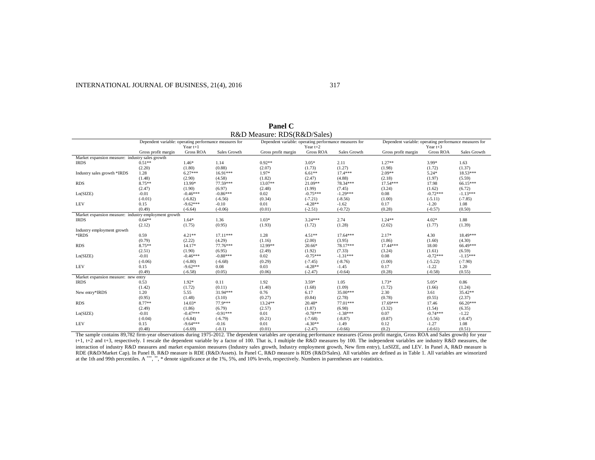|                                                      |                                                                      |                  |              | R&D Measure: RDS(R&D/Sales) |                                                                      |              |                     |                                                                      |              |  |
|------------------------------------------------------|----------------------------------------------------------------------|------------------|--------------|-----------------------------|----------------------------------------------------------------------|--------------|---------------------|----------------------------------------------------------------------|--------------|--|
|                                                      | Dependent variable: operating performance measures for<br>Year $t+1$ |                  |              |                             | Dependent variable: operating performance measures for<br>Year $t+2$ |              |                     | Dependent variable: operating performance measures for<br>Year $t+3$ |              |  |
|                                                      | Gross profit margin                                                  | <b>Gross ROA</b> | Sales Growth | Gross profit margin         | <b>Gross ROA</b>                                                     | Sales Growth | Gross profit margin | <b>Gross ROA</b>                                                     | Sales Growth |  |
| Market expansion measure: industry sales growth      |                                                                      |                  |              |                             |                                                                      |              |                     |                                                                      |              |  |
| <b>IRDS</b>                                          | $0.51**$                                                             | $1.46*$          | 1.14         | $0.92**$                    | $3.05*$                                                              | 2.11         | $1.27**$            | $3.99*$                                                              | 1.63         |  |
|                                                      | (2.20)                                                               | (1.80)           | (0.88)       | (2.07)                      | (1.73)                                                               | (1.27)       | (1.98)              | (1.72)                                                               | (1.37)       |  |
| Industry sales growth *IRDS                          | 1.28                                                                 | $6.27***$        | $16.91***$   | $1.97*$                     | $6.61**$                                                             | $17.4***$    | $2.09**$            | $5.24*$                                                              | 18.53***     |  |
|                                                      | (1.48)                                                               | (2.90)           | (4.58)       | (1.82)                      | (2.47)                                                               | (4.88)       | (2.18)              | (1.97)                                                               | (5.59)       |  |
| <b>RDS</b>                                           | 8.75**                                                               | 13.99*           | 77.59***     | 13.07**                     | 21.09**                                                              | 78.34***     | 17.54***            | 17.98                                                                | 66.15***     |  |
|                                                      | (2.47)                                                               | (1.90)           | (6.97)       | (2.48)                      | (1.99)                                                               | (7.45)       | (3.24)              | (1.62)                                                               | (6.72)       |  |
| Ln(SIZE)                                             | $-0.01$                                                              | $-0.46***$       | $-0.86***$   | 0.02                        | $-0.75***$                                                           | $-1.29***$   | 0.08                | $-0.72***$                                                           | $-1.13***$   |  |
|                                                      | $(-0.01)$                                                            | $(-6.82)$        | $(-6.56)$    | (0.34)                      | $(-7.21)$                                                            | $(-8.56)$    | (1.00)              | $(-5.11)$                                                            | $(-7.85)$    |  |
| <b>LEV</b>                                           | 0.15                                                                 | $-9.62***$       | $-0.10$      | 0.01                        | $-4.28**$                                                            | $-1.62$      | 0.17                | $-1.20$                                                              | 1.08         |  |
|                                                      | (0.49)                                                               | $(-6.64)$        | $(-0.06)$    | (0.01)                      | $(-2.51)$                                                            | $(-0.72)$    | (0.28)              | $(-0.57)$                                                            | (0.50)       |  |
| Market expansion measure: industry employment growth |                                                                      |                  |              |                             |                                                                      |              |                     |                                                                      |              |  |
| <b>IRDS</b>                                          | $0.64**$                                                             | $1.64*$          | 1.36         | $1.03*$                     | $3.24***$                                                            | 2.74         | $1.24**$            | $4.02*$                                                              | 1.88         |  |
|                                                      | (2.12)                                                               | (1.75)           | (0.95)       | (1.93)                      | (1.72)                                                               | (1.28)       | (2.02)              | (1.77)                                                               | (1.39)       |  |
| Industry employment growth                           |                                                                      |                  |              |                             |                                                                      |              |                     |                                                                      |              |  |
| *IRDS                                                | 0.59                                                                 | $4.21**$         | $17.11***$   | 1.28                        | $4.51**$                                                             | $17.64***$   | $2.17*$             | 4.30                                                                 | 18.49***     |  |
|                                                      | (0.79)                                                               | (2.22)           | (4.29)       | (1.16)                      | (2.00)                                                               | (3.95)       | (1.86)              | (1.60)                                                               | (4.30)       |  |
| <b>RDS</b>                                           | $8.75***$                                                            | 14.17*           | 77.76***     | 12.99**                     | $20.66*$                                                             | 78.17***     | 17.44***            | 18.00                                                                | 66.49***     |  |
|                                                      | (2.51)                                                               | (1.90)           | (6.95)       | (2.49)                      | (1.92)                                                               | (7.33)       | (3.24)              | (1.61)                                                               | (6.59)       |  |
| Ln(SIZE)                                             | $-0.01$                                                              | $-0.46***$       | $-0.88***$   | 0.02                        | $-0.75***$                                                           | $-1.31***$   | 0.08                | $-0.72***$                                                           | $-1.15***$   |  |
|                                                      | $(-0.06)$                                                            | $(-6.80)$        | $(-6.68)$    | (0.29)                      | $(-7.45)$                                                            | $(-8.76)$    | (1.00)              | $(-5.22)$                                                            | $(-7.90)$    |  |
| <b>LEV</b>                                           | 0.15                                                                 | $-9.62***$       | 0.08         | 0.03                        | $-4.28**$                                                            | $-1.45$      | 0.17                | $-1.22$                                                              | 1.20         |  |
|                                                      | (0.49)                                                               | $(-6.58)$        | (0.05)       | (0.06)                      | $(-2.47)$                                                            | $(-0.64)$    | (0.28)              | $(-0.58)$                                                            | (0.55)       |  |
| Market expansion measure: new entry                  |                                                                      |                  |              |                             |                                                                      |              |                     |                                                                      |              |  |
| <b>IRDS</b>                                          | 0.53                                                                 | $1.92*$          | 0.11         | 1.92                        | $3.59*$                                                              | 1.05         | $1.73*$             | $5.05*$                                                              | 0.86         |  |
|                                                      | (1.42)                                                               | (1.72)           | (0.11)       | (1.40)                      | (1.68)                                                               | (1.09)       | (1.72)              | (1.66)                                                               | (1.24)       |  |
| New entry*IRDS                                       | 1.20                                                                 | 5.55             | $31.94***$   | 0.76                        | 6.17                                                                 | 35.00***     | 2.30                | 3.61                                                                 | 35.42**      |  |
|                                                      | (0.95)                                                               | (1.48)           | (3.10)       | (0.27)                      | (0.84)                                                               | (2.78)       | (0.78)              | (0.55)                                                               | (2.37)       |  |
| <b>RDS</b>                                           | $8.77**$                                                             | $14.03*$         | 77.9***      | 13.24**                     | 20.48*                                                               | $77.01***$   | 17.69***            | 17.46                                                                | 66.20***     |  |
|                                                      | (2.49)                                                               | (1.86)           | (6.79)       | (2.57)                      | (1.87)                                                               | (6.98)       | (3.32)              | (1.54)                                                               | (6.35)       |  |
| Ln(SIZE)                                             | $-0.01$                                                              | $-0.47***$       | $-0.91***$   | 0.01                        | $-0.78***$                                                           | $-1.38***$   | 0.07                | $-0.74***$                                                           | $-1.22$      |  |
|                                                      | $(-0.04)$                                                            | $(-6.84)$        | $(-6.79)$    | (0.21)                      | $(-7.68)$                                                            | $(-8.87)$    | (0.87)              | $(-5.56)$                                                            | $(-8.47)$    |  |
| <b>LEV</b>                                           | 0.15                                                                 | $-9.64***$       | $-0.16$      | 0.01                        | $-4.30**$                                                            | $-1.49$      | 0.12                | $-1.27$                                                              | 1.08         |  |
|                                                      | (0.48)                                                               | $(-6.69)$        | $(-0.1)$     | (0.01)                      | $(-2.47)$                                                            | $(-0.66)$    | (0.2)               | $(-0.61)$                                                            | (0.51)       |  |

**Panel C**

 $(0.48)$   $(-6.69)$   $(-0.1)$   $(0.01)$   $(-2.47)$   $(-0.66)$   $(0.2)$   $(-0.61)$   $(-0.61)$   $(0.51)$   $(0.51)$   $(0.61)$   $(0.61)$   $(0.61)$   $(0.61)$   $(0.61)$   $(0.61)$   $(0.61)$   $(0.61)$   $(0.61)$   $(0.61)$   $(0.61)$   $(0.61)$   $(0.61)$   $(0.61)$ t+1, t+2 and t+3, respectively. I rescale the dependent variable by a factor of 100. That is, I multiple the R&D measures by 100. The independent variables are industry R&D measures, the interaction of industry R&D measures and market expansion measures (Industry sales growth, Industry employment growth, New firm entry), LnSIZE, and LEV. In Panel A, R&D measure is RDE (R&D/Market Cap). In Panel B, R&D measure is RDE (R&D/Assets). In Panel C, R&D measure is RDS (R&D/Sales). All variables are defined as in Table 1. All variables are winsorized at the 1th and 99th percentiles. A \*\*\*, \*